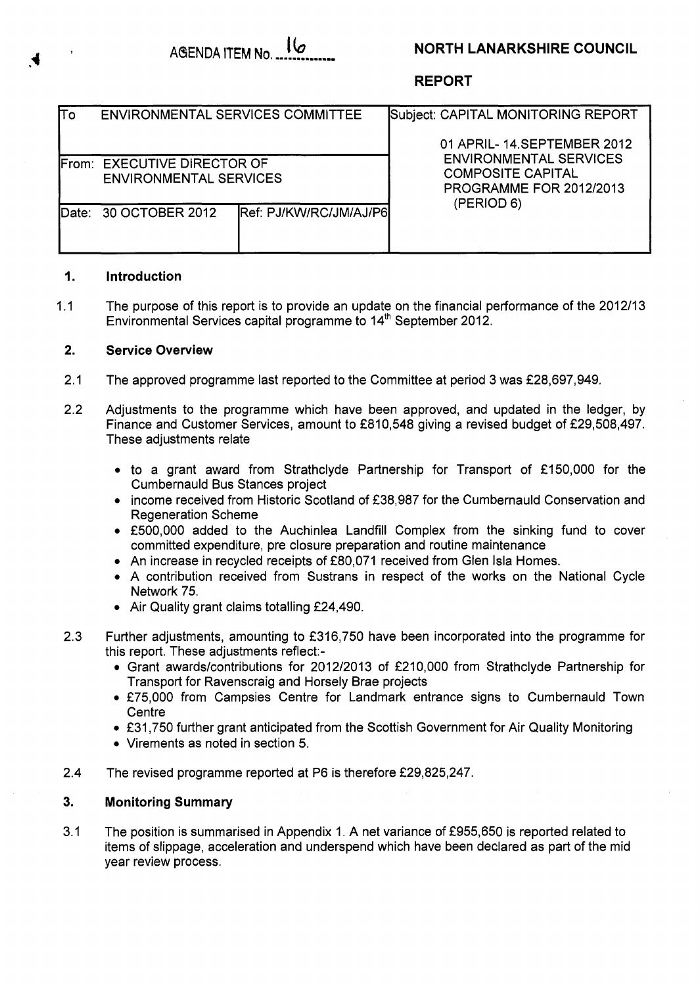# **AdENDA ITEM NO** ,.............. **Ib NORTH LANARKSHIRE COUNCIL**

### **REPORT**

| Πo       | <b>ENVIRONMENTAL SERVICES COMMITTEE</b>                      |                                | Subject: CAPITAL MONITORING REPORT                                                                        |  |  |  |  |
|----------|--------------------------------------------------------------|--------------------------------|-----------------------------------------------------------------------------------------------------------|--|--|--|--|
|          |                                                              |                                | 01 APRIL- 14 SEPTEMBER 2012                                                                               |  |  |  |  |
|          | From: EXECUTIVE DIRECTOR OF<br><b>ENVIRONMENTAL SERVICES</b> |                                | <b>ENVIRONMENTAL SERVICES</b><br><b>COMPOSITE CAPITAL</b><br><b>PROGRAMME FOR 2012/2013</b><br>(PERIOD 6) |  |  |  |  |
| lDate: I | 30 OCTOBER 2012                                              | <b>IRef: PJ/KW/RC/JM/AJ/P6</b> |                                                                                                           |  |  |  |  |

## **1. Introduction**

1.1 The purpose of this report is to provide an update on the financial performance of the 2012/13 Environmental Services capital programme to  $14<sup>th</sup>$  September 2012.

### **2. Service Overview**

- 2.1 The approved programme last reported to the Committee at period 3 was £28,697,949.
- 2.2 Adjustments to the programme which have been approved, and updated in the ledger, by Finance and Customer Services, amount to £810,548 giving a revised budget of £29,508,497. These adjustments relate
	- to a grant award from Strathclyde Partnership for Transport of £150,000 for the Cumbernauld Bus Stances project
	- income received from Historic Scotland of £38,987 for the Cumbernauld Conservation and Regeneration Scheme
	- £500,000 added to the Auchinlea Landfill Complex from the sinking fund to cover committed expenditure, pre closure preparation and routine maintenance
	- An increase in recycled receipts of £80,071 received from Glen Isla Homes.
	- *0* A contribution received from Sustrans in respect of the works on the National Cycle Network 75.
	- Air Quality grant claims totalling £24,490.
- 2.3 Further adjustments, amounting to £316,750 have been incorporated into the programme for this report. These adjustments reflect:-
	- Grant awards/contributions for 2012/2013 of £210,000 from Strathclyde Partnership for Transport for Ravenscraig and Horsely Brae projects
	- £75,000 from Campsies Centre for Landmark entrance signs to Cumbernauld Town **Centre**
	- £31,750 further grant anticipated from the Scottish Government for Air Quality Monitoring
	- *0* Virements as noted in section **5.**
- 2.4 The revised programme reported at P6 is therefore £29,825,247.

### **3. Monitoring Summary**

3.1 The position is summarised in Appendix 1. A net variance of f955,650 is reported related to items of slippage, acceleration and underspend which have been declared as part of the mid year review process.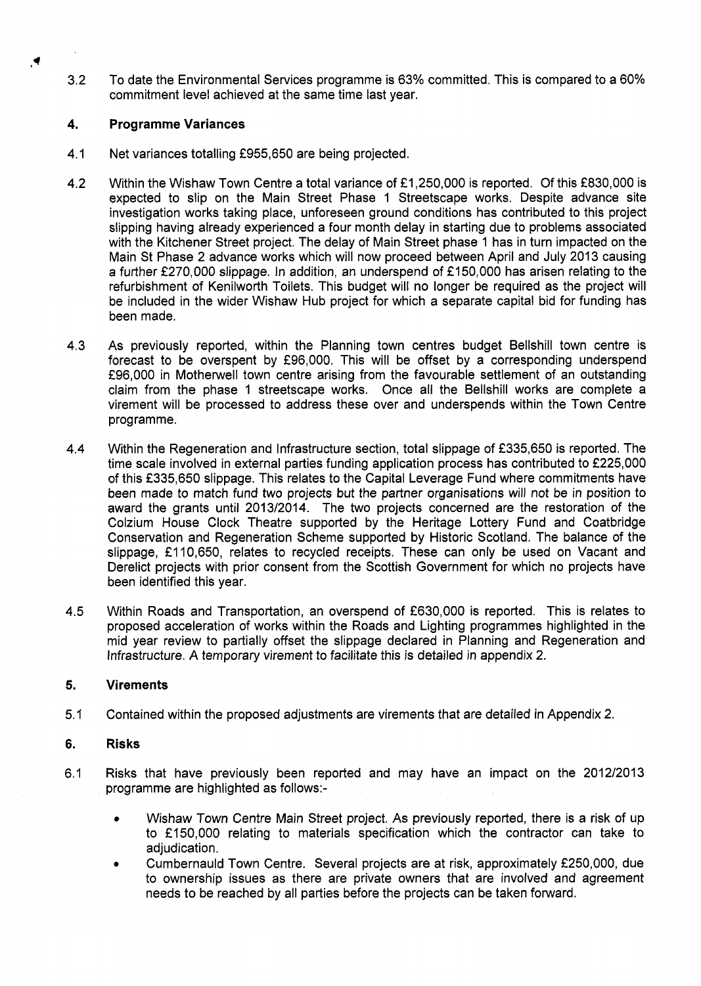3.2 To date the Environmental Services programme is 63% committed. This is compared to a 60% commitment level achieved at the same time last year.

#### **4. Programme Variances**

 $\blacktriangleright$ 

- 4.1 Net variances totalling £955,650 are being projected.
- 4.2 Within the Wishaw Town Centre a total variance of £1,250,000 is reported. Of this £830,000 is expected to slip on the Main Street Phase 1 Streetscape works. Despite advance site investigation works taking place, unforeseen ground conditions has contributed to this project slipping having already experienced a four month delay in starting due to problems associated with the Kitchener Street project. The delay of Main Street phase 1 has in turn impacted on the Main St Phase 2 advance works which will now proceed between April and July 2013 causing a further £270,000 slippage. In addition, an underspend of £150,000 has arisen relating to the refurbishment of Kenilworth Toilets. This budget will no longer be required as the project will be included in the wider Wishaw Hub project for which a separate capital bid for funding has been made.
- 4.3 As previously reported, within the Planning town centres budget Bellshill town centre is forecast to be overspent by  $£96,000$ . This will be offset by a corresponding underspend f96,000 in Motherwell town centre arising from the favourable settlement of an outstanding claim from the phase 1 streetscape works. Once all the Bellshill works are complete a virement will be processed to address these over and underspends within the Town Centre programme.
- 4.4 Within the Regeneration and Infrastructure section, total slippage of £335,650 is reported. The time scale involved in external parties funding application process has contributed to  $£225,000$ of this f335,650 slippage. This relates to the Capital Leverage Fund where commitments have been made to match fund two projects but the partner organisations will not be in position to award the grants until 2013/2014. The two projects concerned are the restoration of the Colzium House Clock Theatre supported by the Heritage Lottery Fund and Coatbridge Conservation and Regeneration Scheme supported by Historic Scotland. The balance of the slippage, £110,650, relates to recycled receipts. These can only be used on Vacant and Derelict projects with prior consent from the Scottish Government for which no projects have been identified this year.
- 4.5 Within Roads and Transportation, an overspend of £630,000 is reported. This is relates to proposed acceleration of works within the Roads and Lighting programmes highlighted in the mid year review to partially offset the slippage declared in Planning and Regeneration and Infrastructure. **A** temporary virement to facilitate this is detailed in appendix 2.

#### **5. Virements**

5.1 Contained within the proposed adjustments are virements that are detailed in Appendix 2.

#### **6. Risks**

- 6.1 Risks that have previously been reported and may have an impact on the 2012/2013 programme are highlighted as follows:-
	- *0* Wishaw Town Centre Main Street project. **As** previously reported, there is a risk of up to £150,000 relating to materials specification which the contractor can take to adjudication.
	- Cumbernauld Town Centre. Several projects are at risk, approximately £250,000, due to ownership issues as there are private owners that are involved and agreement needs to be reached by all parties before the projects can be taken forward. *0*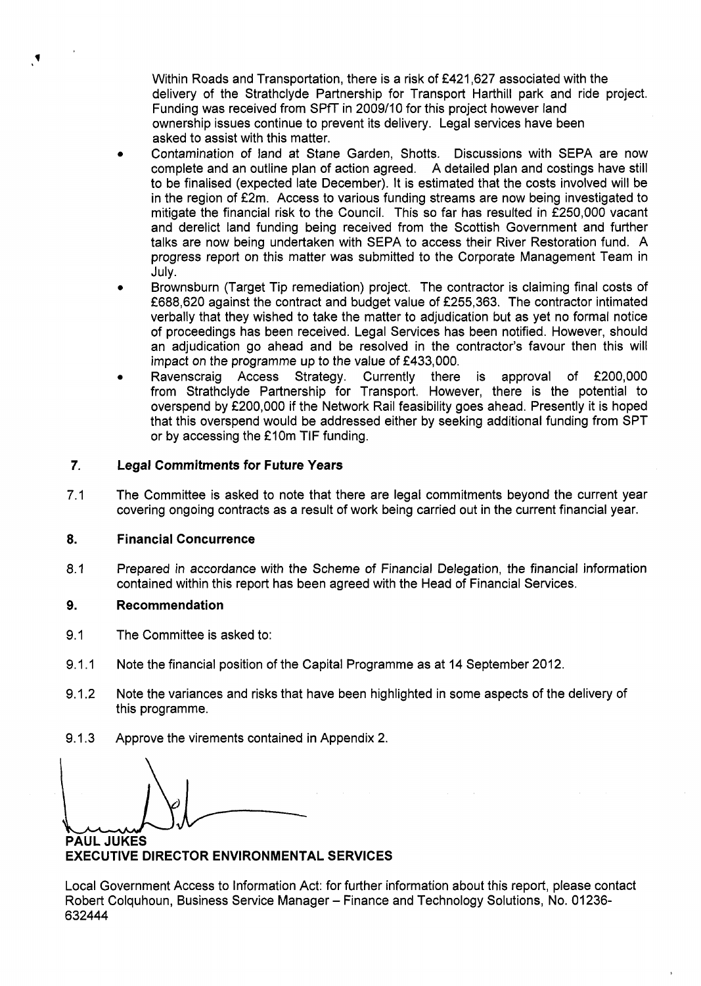Within Roads and Transportation, there is a risk of **€421,627** associated with the delivery of the Strathclyde Partnership for Transport Harthill park and ride project. Funding was received from SPff in **2009/10** for this project however land ownership issues continue to prevent its delivery. Legal services have been asked to assist with this matter.

- Contamination of land at Stane Garden, Shotts. Discussions with SEPA are now complete and an outline plan of action agreed. A detailed plan and costings have still to be finalised (expected late December). It is estimated that the costs involved will be in the region of £2m. Access to various funding streams are now being investigated to mitigate the financial risk to the Council. This so far has resulted in **f250,000** vacant and derelict land funding being received from the Scottish Government and further talks are now being undertaken with SEPA to access their River Restoration fund. A progress report on this matter was submitted to the Corporate Management Team in July.
- Brownsburn (Target Tip remediation) project. The contractor is claiming final costs of **€688,620** against the contract and budget value of **€255,363.** The contractor intimated verbally that they wished to take the matter to adjudication but as yet no formal notice of proceedings has been received. Legal Services has been notified. However, should an adjudication go ahead and be resolved in the contractor's favour then this will *0*
- impact on the programme up to the value of **€433,000.**  approval of £200,000 from Strathclyde Partnership for Transport. However, there is the potential to overspend by **€200,000** if the Network Rail feasibility goes ahead. Presently it is hoped that this overspend would be addressed either by seeking additional funding from SPT or by accessing the **f** 10m TIF funding.

#### **7. Legal Commitments for Future Years**

**7.1**  The Committee is asked to note that there are legal commitments beyond the current year covering ongoing contracts as a result of work being carried out in the current financial year.

#### **8. Financial Concurrence**

**8.1**  Prepared in accordance with the Scheme of Financial Delegation, the financial information contained within this report has been agreed with the Head of Financial Services.

#### **9. Recommendation**

- **9.1**  The Committee is asked to:
- **9.1.1**  Note the financial position of the Capital Programme as at **14** September **2012.**
- **9.1.2**  Note the variances and risks that have been highlighted in some aspects of the delivery of this programme.
- **9.1.3**  Approve the virements contained in Appendix **2.**

**PAUL JUKES** 

**EXECUTIVE DIRECTOR ENVIRONMENTAL SERVICES** 

Local Government Access to Information Act: for further information about this report, please contact Robert Colquhoun, Business Service Manager - Finance and Technology Solutions, No. 01236-**632444**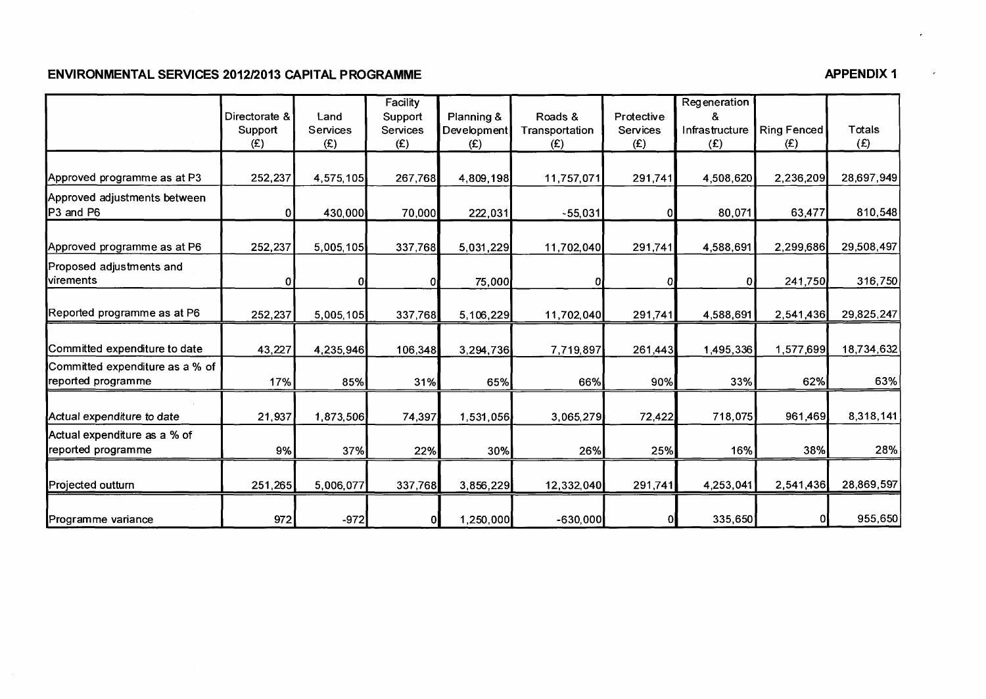## ENVIRONMENTAL SERVICES 2012/2013 CAPITAL PROGRAMME

|                                                       | Directorate &<br>Support | Land<br>Services | Facility<br>Support<br><b>Services</b> | Planning &<br>Development | Roads &<br>Transportation | Protective<br>Services | Regeneration<br>&<br>Infrastructure | Ring Fenced | Totals     |
|-------------------------------------------------------|--------------------------|------------------|----------------------------------------|---------------------------|---------------------------|------------------------|-------------------------------------|-------------|------------|
|                                                       | (E)                      | (E)              | (E)                                    | (E)                       | (E)                       | (E)                    | (E)                                 | (E)         | (E)        |
| Approved programme as at P3                           | 252,237                  | 4,575,105        | 267,768                                | 4,809,198                 | 11,757,071                | 291,741                | 4,508,620                           | 2,236,209   | 28,697,949 |
| Approved adjustments between<br>P3 and P6             | 0                        | 430,000          | 70,000                                 | 222,031                   | $-55,031$                 |                        | 80,071                              | 63,477      | 810,548    |
| Approved programme as at P6                           | 252,237                  | 5,005,105        | 337,768                                | 5,031,229                 | 11,702,040                | 291,741                | 4,588,691                           | 2,299,686   | 29,508,497 |
| Proposed adjustments and<br>virements                 | 0                        |                  | 0                                      | 75,000                    |                           |                        | Ð                                   | 241,750     | 316,750    |
| Reported programme as at P6                           | 252,237                  | 5,005,105        | 337,768                                | 5,106,229                 | 11,702,040                | 291,741                | 4,588,691                           | 2,541,436   | 29,825,247 |
| Committed expenditure to date                         | 43,227                   | 4,235,946        | 106,348                                | 3,294,736                 | 7,719,897                 | 261,443                | 1,495,336                           | 1,577,699   | 18,734,632 |
| Committed expenditure as a % of<br>reported programme | 17%                      | 85%              | 31%                                    | 65%                       | 66%                       | 90%                    | 33%                                 | 62%         | 63%        |
| Actual expenditure to date                            | 21,937                   | 1,873,506        | 74,397                                 | 1,531,056                 | 3,065,279                 | 72,422                 | 718,075                             | 961,469     | 8,318,141  |
| Actual expenditure as a % of<br>reported programme    | 9%                       | 37%              | 22%                                    | 30%                       | 26%                       | 25%                    | 16%                                 | 38%         | 28%        |
| Projected outturn                                     | 251,265                  | 5,006,077        | 337,768                                | 3,856,229                 | 12,332,040                | 291,741                | 4,253,041                           | 2,541,436   | 28,869,597 |
| Programme variance                                    | 972                      | $-972$           |                                        | 1,250,000                 | $-630,000$                | 01                     | 335,650                             | 01          | 955,650    |

**APPENDIX 1** 

 $\ddot{\phantom{1}}$